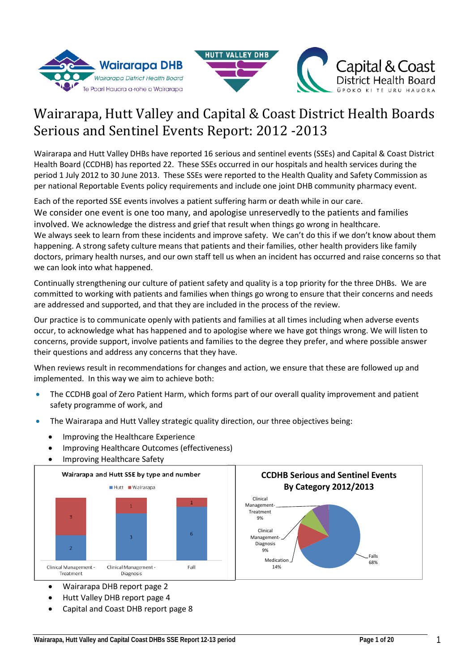



# Wairarapa, Hutt Valley and Capital & Coast District Health Boards Serious and Sentinel Events Report: 2012 -2013

Wairarapa and Hutt Valley DHBs have reported 16 serious and sentinel events (SSEs) and Capital & Coast District Health Board (CCDHB) has reported 22. These SSEs occurred in our hospitals and health services during the period 1 July 2012 to 30 June 2013. These SSEs were reported to the Health Quality and Safety Commission as per national Reportable Events policy requirements and include one joint DHB community pharmacy event.

Each of the reported SSE events involves a patient suffering harm or death while in our care. We consider one event is one too many, and apologise unreservedly to the patients and families involved. We acknowledge the distress and grief that result when things go wrong in healthcare. We always seek to learn from these incidents and improve safety. We can't do this if we don't know about them happening. A strong safety culture means that patients and their families, other health providers like family doctors, primary health nurses, and our own staff tell us when an incident has occurred and raise concerns so that we can look into what happened.

Continually strengthening our culture of patient safety and quality is a top priority for the three DHBs. We are committed to working with patients and families when things go wrong to ensure that their concerns and needs are addressed and supported, and that they are included in the process of the review.

Our practice is to communicate openly with patients and families at all times including when adverse events occur, to acknowledge what has happened and to apologise where we have got things wrong. We will listen to concerns, provide support, involve patients and families to the degree they prefer, and where possible answer their questions and address any concerns that they have.

When reviews result in recommendations for changes and action, we ensure that these are followed up and implemented. In this way we aim to achieve both:

- The CCDHB goal of Zero Patient Harm, which forms part of our overall quality improvement and patient safety programme of work, and
- The Wairarapa and Hutt Valley strategic quality direction, our three objectives being:
	- Improving the Healthcare Experience
	- Improving Healthcare Outcomes (effectiveness)
	- Improving Healthcare Safety



- Wairarapa DHB report page 2
- Hutt Valley DHB report page 4
- Capital and Coast DHB report page 8

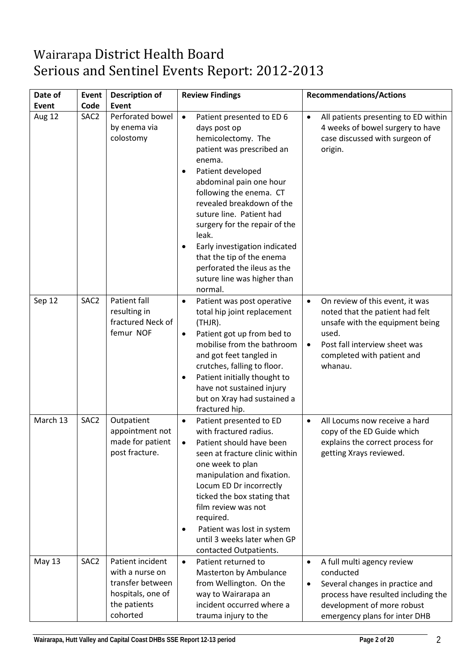# Wairarapa District Health Board Serious and Sentinel Events Report: 2012-2013

| Date of  | Event            | <b>Description of</b>                                                                                    | <b>Review Findings</b>                                                                                                                                                                                                                                                                                                                                                                                                                                             | <b>Recommendations/Actions</b>                                                                                                                                                                                     |
|----------|------------------|----------------------------------------------------------------------------------------------------------|--------------------------------------------------------------------------------------------------------------------------------------------------------------------------------------------------------------------------------------------------------------------------------------------------------------------------------------------------------------------------------------------------------------------------------------------------------------------|--------------------------------------------------------------------------------------------------------------------------------------------------------------------------------------------------------------------|
| Event    | Code             | <b>Event</b>                                                                                             |                                                                                                                                                                                                                                                                                                                                                                                                                                                                    |                                                                                                                                                                                                                    |
| Aug 12   | SAC <sub>2</sub> | Perforated bowel<br>by enema via<br>colostomy                                                            | $\bullet$<br>Patient presented to ED 6<br>days post op<br>hemicolectomy. The<br>patient was prescribed an<br>enema.<br>Patient developed<br>$\bullet$<br>abdominal pain one hour<br>following the enema. CT<br>revealed breakdown of the<br>suture line. Patient had<br>surgery for the repair of the<br>leak.<br>Early investigation indicated<br>$\bullet$<br>that the tip of the enema<br>perforated the ileus as the<br>suture line was higher than<br>normal. | All patients presenting to ED within<br>$\bullet$<br>4 weeks of bowel surgery to have<br>case discussed with surgeon of<br>origin.                                                                                 |
| Sep 12   | SAC <sub>2</sub> | Patient fall<br>resulting in<br>fractured Neck of<br>femur NOF                                           | Patient was post operative<br>$\bullet$<br>total hip joint replacement<br>(THJR).<br>Patient got up from bed to<br>$\bullet$<br>mobilise from the bathroom<br>and got feet tangled in<br>crutches, falling to floor.<br>Patient initially thought to<br>$\bullet$<br>have not sustained injury<br>but on Xray had sustained a<br>fractured hip.                                                                                                                    | On review of this event, it was<br>$\bullet$<br>noted that the patient had felt<br>unsafe with the equipment being<br>used.<br>Post fall interview sheet was<br>$\bullet$<br>completed with patient and<br>whanau. |
| March 13 | SAC <sub>2</sub> | Outpatient<br>appointment not<br>made for patient<br>post fracture.                                      | Patient presented to ED<br>$\bullet$<br>with fractured radius.<br>Patient should have been<br>seen at fracture clinic within<br>one week to plan<br>manipulation and fixation.<br>Locum ED Dr incorrectly<br>ticked the box stating that<br>film review was not<br>required.<br>Patient was lost in system<br>$\bullet$<br>until 3 weeks later when GP<br>contacted Outpatients.                                                                                   | All Locums now receive a hard<br>$\bullet$<br>copy of the ED Guide which<br>explains the correct process for<br>getting Xrays reviewed.                                                                            |
| May 13   | SAC <sub>2</sub> | Patient incident<br>with a nurse on<br>transfer between<br>hospitals, one of<br>the patients<br>cohorted | Patient returned to<br>$\bullet$<br>Masterton by Ambulance<br>from Wellington. On the<br>way to Wairarapa an<br>incident occurred where a<br>trauma injury to the                                                                                                                                                                                                                                                                                                  | A full multi agency review<br>$\bullet$<br>conducted<br>Several changes in practice and<br>$\bullet$<br>process have resulted including the<br>development of more robust<br>emergency plans for inter DHB         |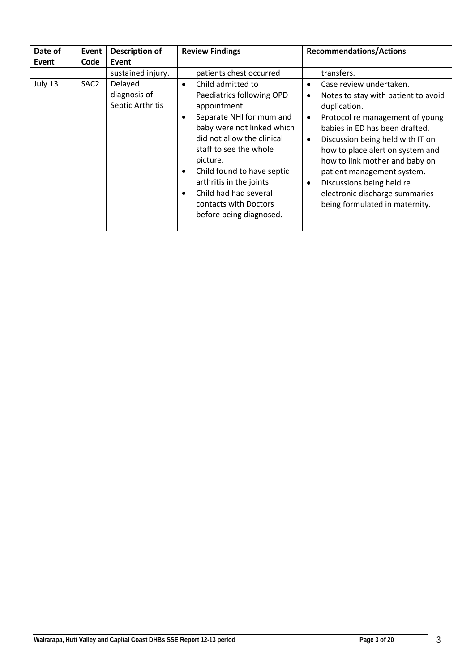| Date of | Event            | <b>Description of</b>                       | <b>Review Findings</b>                                                                                                                                                                                                                                                                                                                                                                 | <b>Recommendations/Actions</b>                                                                                                                                                                                                                                                                                                                                                                                                                                |
|---------|------------------|---------------------------------------------|----------------------------------------------------------------------------------------------------------------------------------------------------------------------------------------------------------------------------------------------------------------------------------------------------------------------------------------------------------------------------------------|---------------------------------------------------------------------------------------------------------------------------------------------------------------------------------------------------------------------------------------------------------------------------------------------------------------------------------------------------------------------------------------------------------------------------------------------------------------|
| Event   | Code             | Event                                       |                                                                                                                                                                                                                                                                                                                                                                                        |                                                                                                                                                                                                                                                                                                                                                                                                                                                               |
|         |                  | sustained injury.                           | patients chest occurred                                                                                                                                                                                                                                                                                                                                                                | transfers.                                                                                                                                                                                                                                                                                                                                                                                                                                                    |
| July 13 | SAC <sub>2</sub> | Delayed<br>diagnosis of<br>Septic Arthritis | Child admitted to<br>$\bullet$<br>Paediatrics following OPD<br>appointment.<br>Separate NHI for mum and<br>$\bullet$<br>baby were not linked which<br>did not allow the clinical<br>staff to see the whole<br>picture.<br>Child found to have septic<br>$\bullet$<br>arthritis in the joints<br>Child had had several<br>$\bullet$<br>contacts with Doctors<br>before being diagnosed. | Case review undertaken.<br>$\bullet$<br>Notes to stay with patient to avoid<br>$\bullet$<br>duplication.<br>Protocol re management of young<br>$\bullet$<br>babies in ED has been drafted.<br>Discussion being held with IT on<br>$\bullet$<br>how to place alert on system and<br>how to link mother and baby on<br>patient management system.<br>Discussions being held re<br>$\bullet$<br>electronic discharge summaries<br>being formulated in maternity. |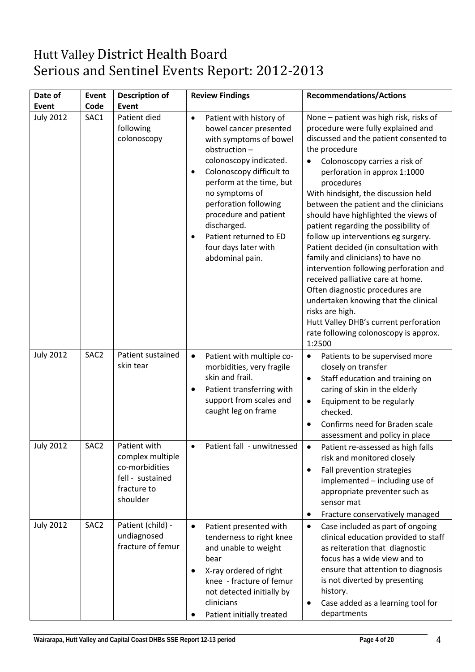# Hutt Valley District Health Board Serious and Sentinel Events Report: 2012-2013

| Date of          | Event            | <b>Description of</b>                                                                             | <b>Review Findings</b>                                                                                                                                                                                                                                                                                                                                          | <b>Recommendations/Actions</b>                                                                                                                                                                                                                                                                                                                                                                                                                                                                                                                                                                                                                                                                                                                                                                     |
|------------------|------------------|---------------------------------------------------------------------------------------------------|-----------------------------------------------------------------------------------------------------------------------------------------------------------------------------------------------------------------------------------------------------------------------------------------------------------------------------------------------------------------|----------------------------------------------------------------------------------------------------------------------------------------------------------------------------------------------------------------------------------------------------------------------------------------------------------------------------------------------------------------------------------------------------------------------------------------------------------------------------------------------------------------------------------------------------------------------------------------------------------------------------------------------------------------------------------------------------------------------------------------------------------------------------------------------------|
| Event            | Code             | Event                                                                                             |                                                                                                                                                                                                                                                                                                                                                                 |                                                                                                                                                                                                                                                                                                                                                                                                                                                                                                                                                                                                                                                                                                                                                                                                    |
| <b>July 2012</b> | SAC1             | Patient died<br>following<br>colonoscopy                                                          | Patient with history of<br>$\bullet$<br>bowel cancer presented<br>with symptoms of bowel<br>obstruction-<br>colonoscopy indicated.<br>Colonoscopy difficult to<br>$\bullet$<br>perform at the time, but<br>no symptoms of<br>perforation following<br>procedure and patient<br>discharged.<br>Patient returned to ED<br>four days later with<br>abdominal pain. | None - patient was high risk, risks of<br>procedure were fully explained and<br>discussed and the patient consented to<br>the procedure<br>Colonoscopy carries a risk of<br>$\bullet$<br>perforation in approx 1:1000<br>procedures<br>With hindsight, the discussion held<br>between the patient and the clinicians<br>should have highlighted the views of<br>patient regarding the possibility of<br>follow up interventions eg surgery.<br>Patient decided (in consultation with<br>family and clinicians) to have no<br>intervention following perforation and<br>received palliative care at home.<br>Often diagnostic procedures are<br>undertaken knowing that the clinical<br>risks are high.<br>Hutt Valley DHB's current perforation<br>rate following colonoscopy is approx.<br>1:2500 |
| <b>July 2012</b> | SAC <sub>2</sub> | Patient sustained<br>skin tear                                                                    | $\bullet$<br>Patient with multiple co-<br>morbidities, very fragile<br>skin and frail.<br>Patient transferring with<br>support from scales and<br>caught leg on frame                                                                                                                                                                                           | Patients to be supervised more<br>$\bullet$<br>closely on transfer<br>Staff education and training on<br>$\bullet$<br>caring of skin in the elderly<br>Equipment to be regularly<br>$\bullet$<br>checked.<br>Confirms need for Braden scale<br>$\bullet$<br>assessment and policy in place                                                                                                                                                                                                                                                                                                                                                                                                                                                                                                         |
| <b>July 2012</b> | SAC2             | Patient with<br>complex multiple<br>co-morbidities<br>fell - sustained<br>fracture to<br>shoulder | Patient fall - unwitnessed                                                                                                                                                                                                                                                                                                                                      | Patient re-assessed as high falls<br>risk and monitored closely<br>Fall prevention strategies<br>$\bullet$<br>implemented - including use of<br>appropriate preventer such as<br>sensor mat<br>Fracture conservatively managed<br>$\bullet$                                                                                                                                                                                                                                                                                                                                                                                                                                                                                                                                                        |
| <b>July 2012</b> | SAC <sub>2</sub> | Patient (child) -<br>undiagnosed<br>fracture of femur                                             | Patient presented with<br>$\bullet$<br>tenderness to right knee<br>and unable to weight<br>bear<br>X-ray ordered of right<br>knee - fracture of femur<br>not detected initially by<br>clinicians<br>Patient initially treated                                                                                                                                   | Case included as part of ongoing<br>$\bullet$<br>clinical education provided to staff<br>as reiteration that diagnostic<br>focus has a wide view and to<br>ensure that attention to diagnosis<br>is not diverted by presenting<br>history.<br>Case added as a learning tool for<br>$\bullet$<br>departments                                                                                                                                                                                                                                                                                                                                                                                                                                                                                        |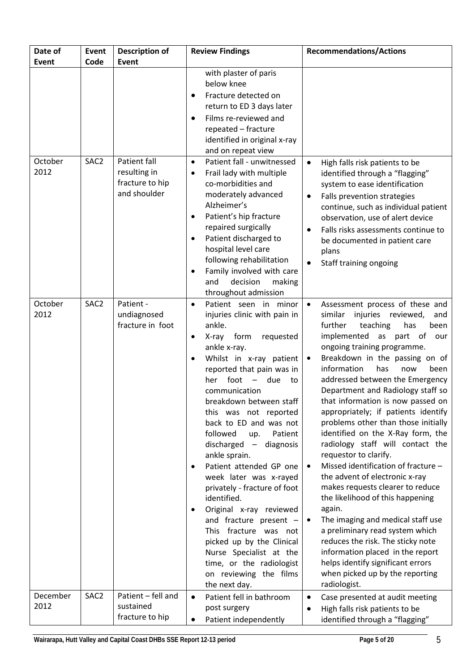| Date of          | Event            | Description of                                                  | <b>Review Findings</b>                                                                                                                                                                                                                                                                                                                                                                                                                                                                                                                                                                                                                                                                                                                                                                                  | <b>Recommendations/Actions</b>                                                                                                                                                                                                                                                                                                                                                                                                                                                                                                                                                                                                                                                                                                                                                                                                                                                                                                                                                                         |
|------------------|------------------|-----------------------------------------------------------------|---------------------------------------------------------------------------------------------------------------------------------------------------------------------------------------------------------------------------------------------------------------------------------------------------------------------------------------------------------------------------------------------------------------------------------------------------------------------------------------------------------------------------------------------------------------------------------------------------------------------------------------------------------------------------------------------------------------------------------------------------------------------------------------------------------|--------------------------------------------------------------------------------------------------------------------------------------------------------------------------------------------------------------------------------------------------------------------------------------------------------------------------------------------------------------------------------------------------------------------------------------------------------------------------------------------------------------------------------------------------------------------------------------------------------------------------------------------------------------------------------------------------------------------------------------------------------------------------------------------------------------------------------------------------------------------------------------------------------------------------------------------------------------------------------------------------------|
| Event            | Code             | <b>Event</b>                                                    |                                                                                                                                                                                                                                                                                                                                                                                                                                                                                                                                                                                                                                                                                                                                                                                                         |                                                                                                                                                                                                                                                                                                                                                                                                                                                                                                                                                                                                                                                                                                                                                                                                                                                                                                                                                                                                        |
|                  |                  |                                                                 | with plaster of paris<br>below knee<br>Fracture detected on<br>return to ED 3 days later<br>Films re-reviewed and<br>$\bullet$<br>repeated - fracture<br>identified in original x-ray<br>and on repeat view                                                                                                                                                                                                                                                                                                                                                                                                                                                                                                                                                                                             |                                                                                                                                                                                                                                                                                                                                                                                                                                                                                                                                                                                                                                                                                                                                                                                                                                                                                                                                                                                                        |
| October<br>2012  | SAC <sub>2</sub> | Patient fall<br>resulting in<br>fracture to hip<br>and shoulder | Patient fall - unwitnessed<br>$\bullet$<br>Frail lady with multiple<br>co-morbidities and<br>moderately advanced<br>Alzheimer's<br>Patient's hip fracture<br>repaired surgically<br>Patient discharged to<br>$\bullet$<br>hospital level care<br>following rehabilitation<br>Family involved with care<br>$\bullet$<br>decision<br>making<br>and<br>throughout admission                                                                                                                                                                                                                                                                                                                                                                                                                                | High falls risk patients to be<br>$\bullet$<br>identified through a "flagging"<br>system to ease identification<br>Falls prevention strategies<br>$\bullet$<br>continue, such as individual patient<br>observation, use of alert device<br>Falls risks assessments continue to<br>$\bullet$<br>be documented in patient care<br>plans<br>Staff training ongoing                                                                                                                                                                                                                                                                                                                                                                                                                                                                                                                                                                                                                                        |
| October<br>2012  | SAC <sub>2</sub> | Patient -<br>undiagnosed<br>fracture in foot                    | Patient seen in minor<br>$\bullet$<br>injuries clinic with pain in<br>ankle.<br>form<br>X-ray<br>requested<br>$\bullet$<br>ankle x-ray.<br>Whilst in x-ray patient<br>reported that pain was in<br>foot<br>due<br>her<br>to<br>$\overline{\phantom{0}}$<br>communication<br>breakdown between staff<br>this was not reported<br>back to ED and was not<br>followed<br>Patient<br>up.<br>discharged<br>diagnosis<br>$\overline{\phantom{a}}$<br>ankle sprain.<br>Patient attended GP one<br>$\bullet$<br>week later was x-rayed<br>privately - fracture of foot<br>identified.<br>Original x-ray reviewed<br>$\bullet$<br>and fracture present -<br>This fracture was not<br>picked up by the Clinical<br>Nurse Specialist at the<br>time, or the radiologist<br>on reviewing the films<br>the next day. | Assessment process of these and<br>$\bullet$<br>similar<br>injuries reviewed,<br>and<br>further<br>teaching<br>has<br>been<br>implemented as part of our<br>ongoing training programme.<br>Breakdown in the passing on of<br>$\bullet$<br>information<br>has<br>been<br>now<br>addressed between the Emergency<br>Department and Radiology staff so<br>that information is now passed on<br>appropriately; if patients identify<br>problems other than those initially<br>identified on the X-Ray form, the<br>radiology staff will contact the<br>requestor to clarify.<br>Missed identification of fracture -<br>$\bullet$<br>the advent of electronic x-ray<br>makes requests clearer to reduce<br>the likelihood of this happening<br>again.<br>The imaging and medical staff use<br>$\bullet$<br>a preliminary read system which<br>reduces the risk. The sticky note<br>information placed in the report<br>helps identify significant errors<br>when picked up by the reporting<br>radiologist. |
| December<br>2012 | SAC <sub>2</sub> | Patient - fell and<br>sustained<br>fracture to hip              | Patient fell in bathroom<br>$\bullet$<br>post surgery<br>Patient independently                                                                                                                                                                                                                                                                                                                                                                                                                                                                                                                                                                                                                                                                                                                          | Case presented at audit meeting<br>٠<br>High falls risk patients to be<br>identified through a "flagging"                                                                                                                                                                                                                                                                                                                                                                                                                                                                                                                                                                                                                                                                                                                                                                                                                                                                                              |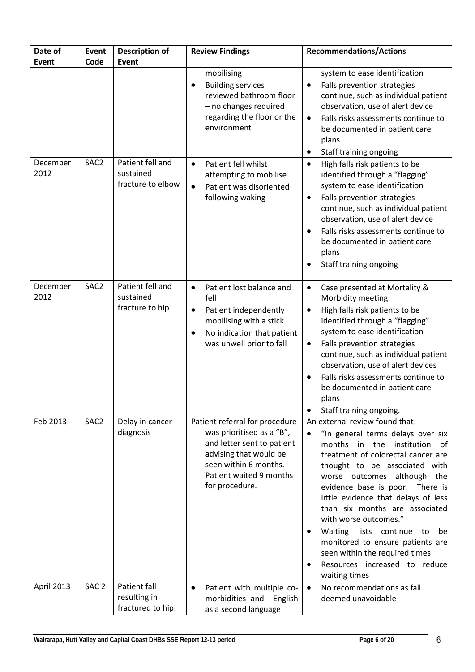| Date of<br>Event | Event<br>Code    | <b>Description of</b><br>Event                     | <b>Review Findings</b>                                                                                                                                                                    | <b>Recommendations/Actions</b>                                                                                                                                                                                                                                                                                                                                                                                                                                                                                                      |
|------------------|------------------|----------------------------------------------------|-------------------------------------------------------------------------------------------------------------------------------------------------------------------------------------------|-------------------------------------------------------------------------------------------------------------------------------------------------------------------------------------------------------------------------------------------------------------------------------------------------------------------------------------------------------------------------------------------------------------------------------------------------------------------------------------------------------------------------------------|
|                  |                  |                                                    | mobilising<br><b>Building services</b><br>reviewed bathroom floor<br>- no changes required<br>regarding the floor or the<br>environment                                                   | system to ease identification<br>Falls prevention strategies<br>$\bullet$<br>continue, such as individual patient<br>observation, use of alert device<br>Falls risks assessments continue to<br>$\bullet$<br>be documented in patient care<br>plans<br>Staff training ongoing<br>٠                                                                                                                                                                                                                                                  |
| December<br>2012 | SAC <sub>2</sub> | Patient fell and<br>sustained<br>fracture to elbow | Patient fell whilst<br>$\bullet$<br>attempting to mobilise<br>Patient was disoriented<br>$\bullet$<br>following waking                                                                    | High falls risk patients to be<br>$\bullet$<br>identified through a "flagging"<br>system to ease identification<br>Falls prevention strategies<br>$\bullet$<br>continue, such as individual patient<br>observation, use of alert device<br>Falls risks assessments continue to<br>$\bullet$<br>be documented in patient care<br>plans<br>Staff training ongoing<br>$\bullet$                                                                                                                                                        |
| December<br>2012 | SAC <sub>2</sub> | Patient fell and<br>sustained<br>fracture to hip   | Patient lost balance and<br>$\bullet$<br>fell<br>Patient independently<br>٠<br>mobilising with a stick.<br>No indication that patient<br>$\bullet$<br>was unwell prior to fall            | Case presented at Mortality &<br>$\bullet$<br>Morbidity meeting<br>High falls risk patients to be<br>$\bullet$<br>identified through a "flagging"<br>system to ease identification<br>Falls prevention strategies<br>٠<br>continue, such as individual patient<br>observation, use of alert devices<br>Falls risks assessments continue to<br>$\bullet$<br>be documented in patient care<br>plans<br>Staff training ongoing.                                                                                                        |
| Feb 2013         | SAC <sub>2</sub> | Delay in cancer<br>diagnosis                       | Patient referral for procedure<br>was prioritised as a "B",<br>and letter sent to patient<br>advising that would be<br>seen within 6 months.<br>Patient waited 9 months<br>for procedure. | An external review found that:<br>"In general terms delays over six<br>$\bullet$<br>months in the institution of<br>treatment of colorectal cancer are<br>thought to be associated with<br>worse outcomes although the<br>evidence base is poor. There is<br>little evidence that delays of less<br>than six months are associated<br>with worse outcomes."<br>Waiting lists continue to<br>be<br>monitored to ensure patients are<br>seen within the required times<br>Resources increased to reduce<br>$\bullet$<br>waiting times |
| April 2013       | SAC <sub>2</sub> | Patient fall<br>resulting in<br>fractured to hip.  | Patient with multiple co-<br>$\bullet$<br>morbidities and English<br>as a second language                                                                                                 | No recommendations as fall<br>$\bullet$<br>deemed unavoidable                                                                                                                                                                                                                                                                                                                                                                                                                                                                       |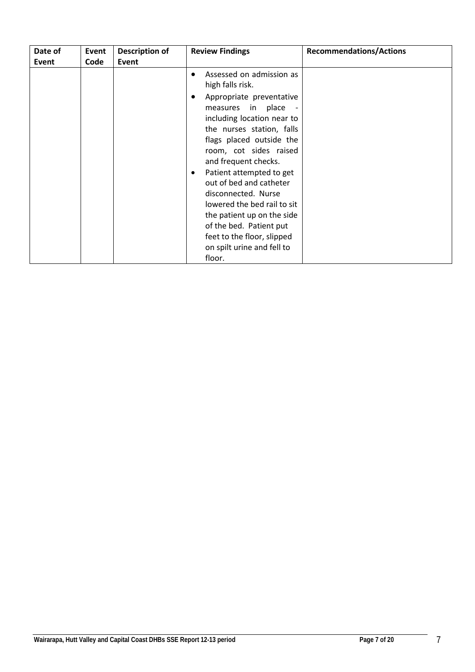| Date of<br>Event | Event<br>Code | Description of<br>Event | <b>Review Findings</b>                                                                                                                                                                                                                                                                                                                                                                                                                                                                    | <b>Recommendations/Actions</b> |
|------------------|---------------|-------------------------|-------------------------------------------------------------------------------------------------------------------------------------------------------------------------------------------------------------------------------------------------------------------------------------------------------------------------------------------------------------------------------------------------------------------------------------------------------------------------------------------|--------------------------------|
|                  |               |                         | Assessed on admission as<br>٠<br>high falls risk.<br>Appropriate preventative<br>measures in place -<br>including location near to<br>the nurses station, falls<br>flags placed outside the<br>room, cot sides raised<br>and frequent checks.<br>Patient attempted to get<br>out of bed and catheter<br>disconnected. Nurse<br>lowered the bed rail to sit<br>the patient up on the side<br>of the bed. Patient put<br>feet to the floor, slipped<br>on spilt urine and fell to<br>floor. |                                |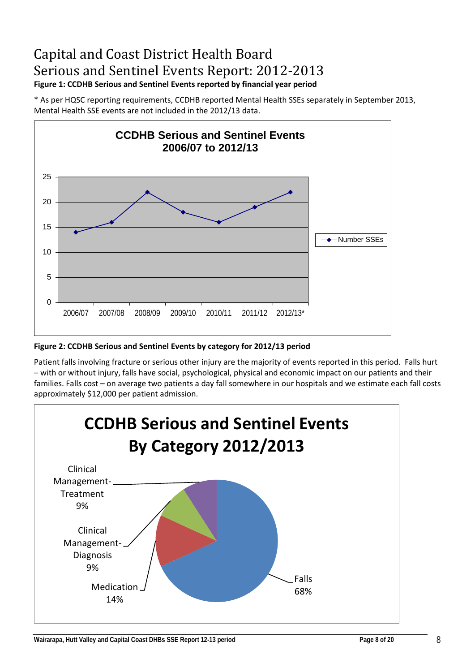# Capital and Coast District Health Board Serious and Sentinel Events Report: 2012-2013 **Figure 1: CCDHB Serious and Sentinel Events reported by financial year period**

\* As per HQSC reporting requirements, CCDHB reported Mental Health SSEs separately in September 2013, Mental Health SSE events are not included in the 2012/13 data.



**Figure 2: CCDHB Serious and Sentinel Events by category for 2012/13 period**

Patient falls involving fracture or serious other injury are the majority of events reported in this period. Falls hurt – with or without injury, falls have social, psychological, physical and economic impact on our patients and their families. Falls cost – on average two patients a day fall somewhere in our hospitals and we estimate each fall costs approximately \$12,000 per patient admission.

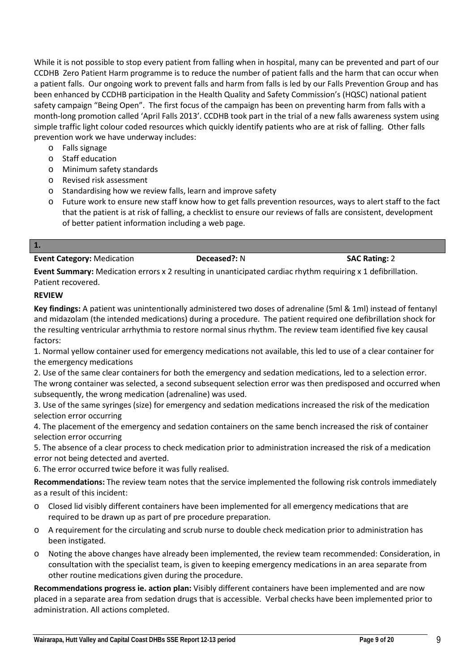While it is not possible to stop every patient from falling when in hospital, many can be prevented and part of our CCDHB Zero Patient Harm programme is to reduce the number of patient falls and the harm that can occur when a patient falls. Our ongoing work to prevent falls and harm from falls is led by our Falls Prevention Group and has been enhanced by CCDHB participation in the Health Quality and Safety Commission's (HQSC) national patient safety campaign "Being Open". The first focus of the campaign has been on preventing harm from falls with a month-long promotion called 'April Falls 2013'. CCDHB took part in the trial of a new falls awareness system using simple traffic light colour coded resources which quickly identify patients who are at risk of falling. Other falls prevention work we have underway includes:

- o Falls signage
- o Staff education
- o Minimum safety standards
- o Revised risk assessment
- o Standardising how we review falls, learn and improve safety
- o Future work to ensure new staff know how to get falls prevention resources, ways to alert staff to the fact that the patient is at risk of falling, a checklist to ensure our reviews of falls are consistent, development of better patient information including a web page.

**1.**

#### **Event Category:** Medication **Deceased?:** N **SAC Rating:** 2

**Event Summary:** Medication errors x 2 resulting in unanticipated cardiac rhythm requiring x 1 defibrillation. Patient recovered.

#### **REVIEW**

**Key findings:** A patient was unintentionally administered two doses of adrenaline (5ml & 1ml) instead of fentanyl and midazolam (the intended medications) during a procedure. The patient required one defibrillation shock for the resulting ventricular arrhythmia to restore normal sinus rhythm. The review team identified five key causal factors:

1. Normal yellow container used for emergency medications not available, this led to use of a clear container for the emergency medications

2. Use of the same clear containers for both the emergency and sedation medications, led to a selection error. The wrong container was selected, a second subsequent selection error was then predisposed and occurred when subsequently, the wrong medication (adrenaline) was used.

3. Use of the same syringes (size) for emergency and sedation medications increased the risk of the medication selection error occurring

4. The placement of the emergency and sedation containers on the same bench increased the risk of container selection error occurring

5. The absence of a clear process to check medication prior to administration increased the risk of a medication error not being detected and averted.

6. The error occurred twice before it was fully realised.

**Recommendations:** The review team notes that the service implemented the following risk controls immediately as a result of this incident:

- o Closed lid visibly different containers have been implemented for all emergency medications that are required to be drawn up as part of pre procedure preparation.
- o A requirement for the circulating and scrub nurse to double check medication prior to administration has been instigated.
- o Noting the above changes have already been implemented, the review team recommended: Consideration, in consultation with the specialist team, is given to keeping emergency medications in an area separate from other routine medications given during the procedure.

**Recommendations progress ie. action plan:** Visibly different containers have been implemented and are now placed in a separate area from sedation drugs that is accessible. Verbal checks have been implemented prior to administration. All actions completed.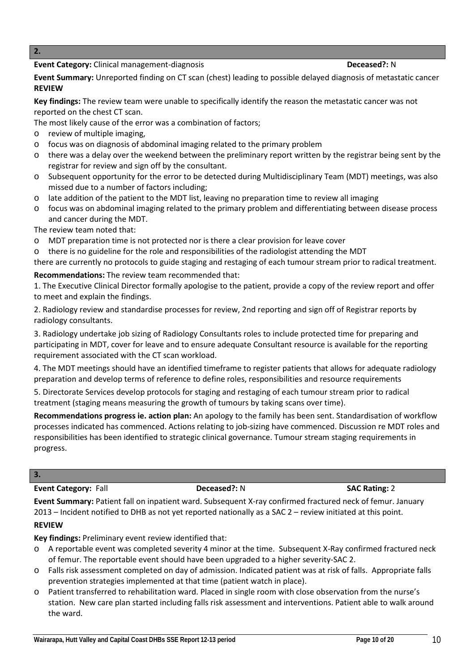#### **Event Category:** Clinical management-diagnosis **Deceased: Deceased:** N

- o A reportable event was completed severity 4 minor at the time. Subsequent X-Ray confirmed fractured neck of femur. The reportable event should have been upgraded to a higher severity-SAC 2.
- o Falls risk assessment completed on day of admission. Indicated patient was at risk of falls. Appropriate falls prevention strategies implemented at that time (patient watch in place).
- o Patient transferred to rehabilitation ward. Placed in single room with close observation from the nurse's station. New care plan started including falls risk assessment and interventions. Patient able to walk around the ward.

**Key findings:** Preliminary event review identified that:

**Event Summary:** Unreported finding on CT scan (chest) leading to possible delayed diagnosis of metastatic cancer **REVIEW**

**Key findings:** The review team were unable to specifically identify the reason the metastatic cancer was not reported on the chest CT scan.

The most likely cause of the error was a combination of factors;

- o review of multiple imaging,
- o focus was on diagnosis of abdominal imaging related to the primary problem
- o there was a delay over the weekend between the preliminary report written by the registrar being sent by the registrar for review and sign off by the consultant.
- o Subsequent opportunity for the error to be detected during Multidisciplinary Team (MDT) meetings, was also missed due to a number of factors including;
- o late addition of the patient to the MDT list, leaving no preparation time to review all imaging
- o focus was on abdominal imaging related to the primary problem and differentiating between disease process and cancer during the MDT.

The review team noted that:

- o MDT preparation time is not protected nor is there a clear provision for leave cover
- o there is no guideline for the role and responsibilities of the radiologist attending the MDT

there are currently no protocols to guide staging and restaging of each tumour stream prior to radical treatment.

# **Recommendations:** The review team recommended that:

1. The Executive Clinical Director formally apologise to the patient, provide a copy of the review report and offer to meet and explain the findings.

2. Radiology review and standardise processes for review, 2nd reporting and sign off of Registrar reports by radiology consultants.

3. Radiology undertake job sizing of Radiology Consultants roles to include protected time for preparing and participating in MDT, cover for leave and to ensure adequate Consultant resource is available for the reporting requirement associated with the CT scan workload.

4. The MDT meetings should have an identified timeframe to register patients that allows for adequate radiology preparation and develop terms of reference to define roles, responsibilities and resource requirements

5. Directorate Services develop protocols for staging and restaging of each tumour stream prior to radical treatment (staging means measuring the growth of tumours by taking scans over time).

**Recommendations progress ie. action plan:** An apology to the family has been sent. Standardisation of workflow processes indicated has commenced. Actions relating to job-sizing have commenced. Discussion re MDT roles and responsibilities has been identified to strategic clinical governance. Tumour stream staging requirements in progress.

# **3.**

**REVIEW**

**Event Category:** Fall **Deceased?:** N **SAC Rating:** 2

**Event Summary:** Patient fall on inpatient ward. Subsequent X-ray confirmed fractured neck of femur. January 2013 – Incident notified to DHB as not yet reported nationally as a SAC 2 – review initiated at this point.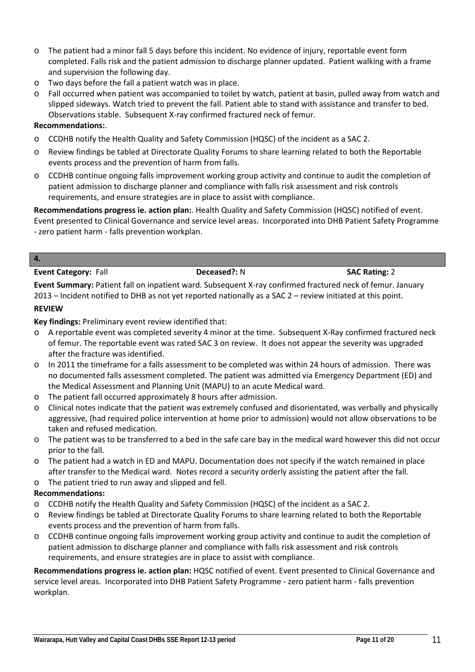- o The patient had a minor fall 5 days before this incident. No evidence of injury, reportable event form completed. Falls risk and the patient admission to discharge planner updated. Patient walking with a frame and supervision the following day.
- o Two days before the fall a patient watch was in place.
- o Fall occurred when patient was accompanied to toilet by watch, patient at basin, pulled away from watch and slipped sideways. Watch tried to prevent the fall. Patient able to stand with assistance and transfer to bed. Observations stable. Subsequent X-ray confirmed fractured neck of femur.

#### **Recommendations:**.

- o CCDHB notify the Health Quality and Safety Commission (HQSC) of the incident as a SAC 2.
- o Review findings be tabled at Directorate Quality Forums to share learning related to both the Reportable events process and the prevention of harm from falls.
- o CCDHB continue ongoing falls improvement working group activity and continue to audit the completion of patient admission to discharge planner and compliance with falls risk assessment and risk controls requirements, and ensure strategies are in place to assist with compliance.

**Recommendations progress ie. action plan:**. Health Quality and Safety Commission (HQSC) notified of event. Event presented to Clinical Governance and service level areas. Incorporated into DHB Patient Safety Programme - zero patient harm - falls prevention workplan.

#### **4.**

**Event Category:** Fall **Deceased?:** N **SAC Rating:** 2

**Event Summary:** Patient fall on inpatient ward. Subsequent X-ray confirmed fractured neck of femur. January 2013 – Incident notified to DHB as not yet reported nationally as a SAC 2 – review initiated at this point.

#### **REVIEW**

**Key findings:** Preliminary event review identified that:

- o A reportable event was completed severity 4 minor at the time. Subsequent X-Ray confirmed fractured neck of femur. The reportable event was rated SAC 3 on review. It does not appear the severity was upgraded after the fracture was identified.
- o In 2011 the timeframe for a falls assessment to be completed was within 24 hours of admission. There was no documented falls assessment completed. The patient was admitted via Emergency Department (ED) and the Medical Assessment and Planning Unit (MAPU) to an acute Medical ward.
- o The patient fall occurred approximately 8 hours after admission.
- o Clinical notes indicate that the patient was extremely confused and disorientated, was verbally and physically aggressive, (had required police intervention at home prior to admission) would not allow observations to be taken and refused medication.
- o The patient was to be transferred to a bed in the safe care bay in the medical ward however this did not occur prior to the fall.
- o The patient had a watch in ED and MAPU. Documentation does not specify if the watch remained in place after transfer to the Medical ward. Notes record a security orderly assisting the patient after the fall.
- o The patient tried to run away and slipped and fell.

### **Recommendations:**

- o CCDHB notify the Health Quality and Safety Commission (HQSC) of the incident as a SAC 2.
- o Review findings be tabled at Directorate Quality Forums to share learning related to both the Reportable events process and the prevention of harm from falls.
- o CCDHB continue ongoing falls improvement working group activity and continue to audit the completion of patient admission to discharge planner and compliance with falls risk assessment and risk controls requirements, and ensure strategies are in place to assist with compliance.

**Recommendations progress ie. action plan:** HQSC notified of event. Event presented to Clinical Governance and service level areas. Incorporated into DHB Patient Safety Programme - zero patient harm - falls prevention workplan.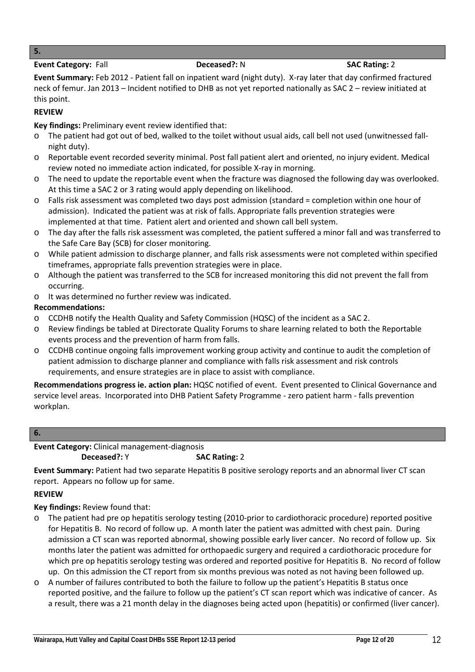#### **5.**

#### **Event Category:** Fall **Deceased?:** N **SAC Rating:** 2

**Event Summary:** Feb 2012 - Patient fall on inpatient ward (night duty). X-ray later that day confirmed fractured neck of femur. Jan 2013 – Incident notified to DHB as not yet reported nationally as SAC 2 – review initiated at this point.

# **REVIEW**

**Key findings:** Preliminary event review identified that:

- The patient had got out of bed, walked to the toilet without usual aids, call bell not used (unwitnessed fallnight duty).
- o Reportable event recorded severity minimal. Post fall patient alert and oriented, no injury evident. Medical review noted no immediate action indicated, for possible X-ray in morning.
- o The need to update the reportable event when the fracture was diagnosed the following day was overlooked. At this time a SAC 2 or 3 rating would apply depending on likelihood.
- o Falls risk assessment was completed two days post admission (standard = completion within one hour of admission). Indicated the patient was at risk of falls. Appropriate falls prevention strategies were implemented at that time. Patient alert and oriented and shown call bell system.
- o The day after the falls risk assessment was completed, the patient suffered a minor fall and was transferred to the Safe Care Bay (SCB) for closer monitoring.
- o While patient admission to discharge planner, and falls risk assessments were not completed within specified timeframes, appropriate falls prevention strategies were in place.
- o Although the patient was transferred to the SCB for increased monitoring this did not prevent the fall from occurring.
- o It was determined no further review was indicated.

# **Recommendations:**

- o CCDHB notify the Health Quality and Safety Commission (HQSC) of the incident as a SAC 2.
- o Review findings be tabled at Directorate Quality Forums to share learning related to both the Reportable events process and the prevention of harm from falls.
- o CCDHB continue ongoing falls improvement working group activity and continue to audit the completion of patient admission to discharge planner and compliance with falls risk assessment and risk controls requirements, and ensure strategies are in place to assist with compliance.

**Recommendations progress ie. action plan:** HQSC notified of event. Event presented to Clinical Governance and service level areas. Incorporated into DHB Patient Safety Programme - zero patient harm - falls prevention workplan.

# **6.**

### **Event Category:** Clinical management-diagnosis **Deceased?:** Y **SAC Rating: 2**

**Event Summary:** Patient had two separate Hepatitis B positive serology reports and an abnormal liver CT scan report. Appears no follow up for same.

### **REVIEW**

**Key findings:** Review found that:

- The patient had pre op hepatitis serology testing (2010-prior to cardiothoracic procedure) reported positive for Hepatitis B. No record of follow up. A month later the patient was admitted with chest pain. During admission a CT scan was reported abnormal, showing possible early liver cancer. No record of follow up. Six months later the patient was admitted for orthopaedic surgery and required a cardiothoracic procedure for which pre op hepatitis serology testing was ordered and reported positive for Hepatitis B. No record of follow up. On this admission the CT report from six months previous was noted as not having been followed up.
- o A number of failures contributed to both the failure to follow up the patient's Hepatitis B status once reported positive, and the failure to follow up the patient's CT scan report which was indicative of cancer. As a result, there was a 21 month delay in the diagnoses being acted upon (hepatitis) or confirmed (liver cancer).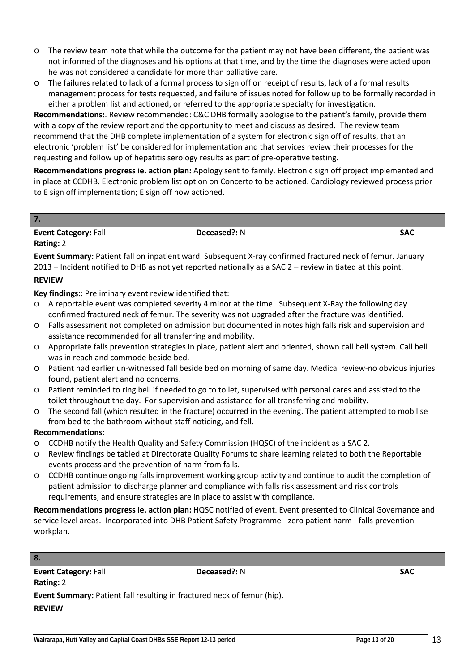Wairarapa, Hutt Valley and Capital Coast DHBs SSE Report 12-13 period **Page 13** of 20

**Event Summary:** Patient fall resulting in fractured neck of femur (hip).

- o The review team note that while the outcome for the patient may not have been different, the patient was not informed of the diagnoses and his options at that time, and by the time the diagnoses were acted upon he was not considered a candidate for more than palliative care.
- o The failures related to lack of a formal process to sign off on receipt of results, lack of a formal results management process for tests requested, and failure of issues noted for follow up to be formally recorded in either a problem list and actioned, or referred to the appropriate specialty for investigation.

**Recommendations:**. Review recommended: C&C DHB formally apologise to the patient's family, provide them with a copy of the review report and the opportunity to meet and discuss as desired. The review team recommend that the DHB complete implementation of a system for electronic sign off of results, that an electronic 'problem list' be considered for implementation and that services review their processes for the requesting and follow up of hepatitis serology results as part of pre-operative testing.

**Recommendations progress ie. action plan:** Apology sent to family. Electronic sign off project implemented and in place at CCDHB. Electronic problem list option on Concerto to be actioned. Cardiology reviewed process prior to E sign off implementation; E sign off now actioned.

## **7. Event Category:** Fall **Deceased?:** N **SAC Rating:** 2

**Event Summary:** Patient fall on inpatient ward. Subsequent X-ray confirmed fractured neck of femur. January 2013 – Incident notified to DHB as not yet reported nationally as a SAC 2 – review initiated at this point.

# **REVIEW**

**Key findings:**: Preliminary event review identified that:

- o A reportable event was completed severity 4 minor at the time. Subsequent X-Ray the following day confirmed fractured neck of femur. The severity was not upgraded after the fracture was identified.
- o Falls assessment not completed on admission but documented in notes high falls risk and supervision and assistance recommended for all transferring and mobility.
- o Appropriate falls prevention strategies in place, patient alert and oriented, shown call bell system. Call bell was in reach and commode beside bed.
- o Patient had earlier un-witnessed fall beside bed on morning of same day. Medical review-no obvious injuries found, patient alert and no concerns.
- o Patient reminded to ring bell if needed to go to toilet, supervised with personal cares and assisted to the toilet throughout the day. For supervision and assistance for all transferring and mobility.
- o The second fall (which resulted in the fracture) occurred in the evening. The patient attempted to mobilise from bed to the bathroom without staff noticing, and fell.

# **Recommendations:**

- o CCDHB notify the Health Quality and Safety Commission (HQSC) of the incident as a SAC 2.
- o Review findings be tabled at Directorate Quality Forums to share learning related to both the Reportable events process and the prevention of harm from falls.
- o CCDHB continue ongoing falls improvement working group activity and continue to audit the completion of patient admission to discharge planner and compliance with falls risk assessment and risk controls requirements, and ensure strategies are in place to assist with compliance.

**Recommendations progress ie. action plan:** HQSC notified of event. Event presented to Clinical Governance and service level areas. Incorporated into DHB Patient Safety Programme - zero patient harm - falls prevention workplan.

# **8.**

**REVIEW**

**Event Category: Fall <b>SAC Deceased?:** N **SAC Rating:** 2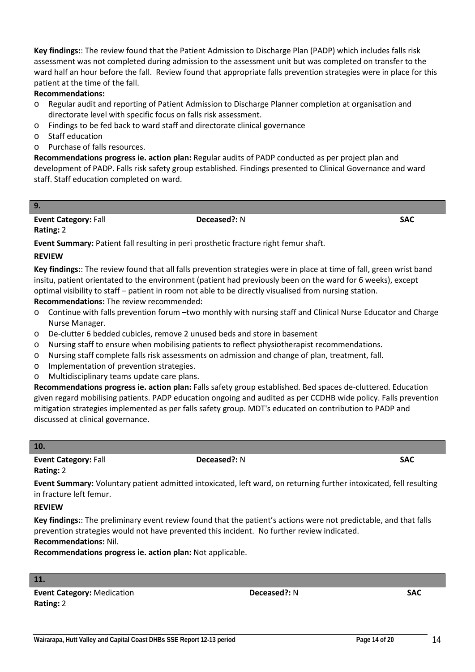assessment was not completed during admission to the assessment unit but was completed on transfer to the ward half an hour before the fall. Review found that appropriate falls prevention strategies were in place for this patient at the time of the fall. **Recommendations:**

**Key findings:**: The review found that the Patient Admission to Discharge Plan (PADP) which includes falls risk

# o Regular audit and reporting of Patient Admission to Discharge Planner completion at organisation and directorate level with specific focus on falls risk assessment.

- o Findings to be fed back to ward staff and directorate clinical governance
- o Staff education
- o Purchase of falls resources.

**Recommendations progress ie. action plan:** Regular audits of PADP conducted as per project plan and development of PADP. Falls risk safety group established. Findings presented to Clinical Governance and ward staff. Staff education completed on ward.

#### **9.**

**Event Category:** Fall **Deceased?:** N **SAC** 

### **Rating:** 2

**Event Summary:** Patient fall resulting in peri prosthetic fracture right femur shaft.

### **REVIEW**

**Key findings:**: The review found that all falls prevention strategies were in place at time of fall, green wrist band insitu, patient orientated to the environment (patient had previously been on the ward for 6 weeks), except optimal visibility to staff – patient in room not able to be directly visualised from nursing station.

**Recommendations:** The review recommended:

- o Continue with falls prevention forum –two monthly with nursing staff and Clinical Nurse Educator and Charge Nurse Manager.
- o De-clutter 6 bedded cubicles, remove 2 unused beds and store in basement
- o Nursing staff to ensure when mobilising patients to reflect physiotherapist recommendations.
- o Nursing staff complete falls risk assessments on admission and change of plan, treatment, fall.
- o Implementation of prevention strategies.
- o Multidisciplinary teams update care plans.

**Recommendations progress ie. action plan:** Falls safety group established. Bed spaces de-cluttered. Education given regard mobilising patients. PADP education ongoing and audited as per CCDHB wide policy. Falls prevention mitigation strategies implemented as per falls safety group. MDT's educated on contribution to PADP and discussed at clinical governance.

#### **10.**

**Event Category: Fall <b>Deceased?:** N **SAC B Rating:** 2

**Event Summary:** Voluntary patient admitted intoxicated, left ward, on returning further intoxicated, fell resulting in fracture left femur.

### **REVIEW**

**Key findings:**: The preliminary event review found that the patient's actions were not predictable, and that falls prevention strategies would not have prevented this incident. No further review indicated. **Recommendations:** Nil.

**Recommendations progress ie. action plan:** Not applicable.

#### **11.**

**Event Category:** Medication **Deceased?:** N **SAC Rating:** 2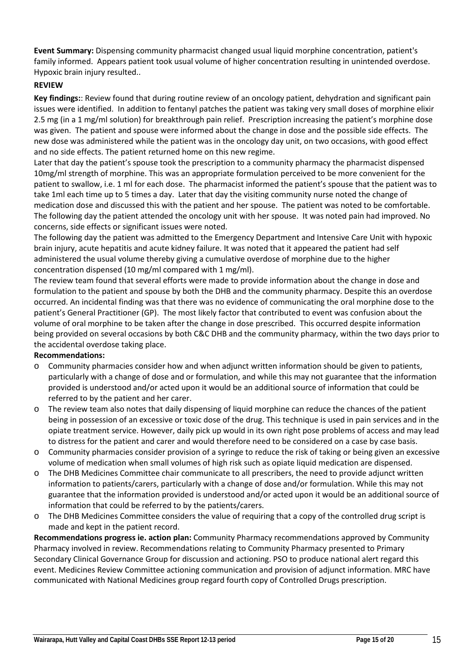**Event Summary:** Dispensing community pharmacist changed usual liquid morphine concentration, patient's family informed. Appears patient took usual volume of higher concentration resulting in unintended overdose. Hypoxic brain injury resulted..

# **REVIEW**

**Key findings:**: Review found that during routine review of an oncology patient, dehydration and significant pain issues were identified. In addition to fentanyl patches the patient was taking very small doses of morphine elixir 2.5 mg (in a 1 mg/ml solution) for breakthrough pain relief. Prescription increasing the patient's morphine dose was given. The patient and spouse were informed about the change in dose and the possible side effects. The new dose was administered while the patient was in the oncology day unit, on two occasions, with good effect and no side effects. The patient returned home on this new regime.

Later that day the patient's spouse took the prescription to a community pharmacy the pharmacist dispensed 10mg/ml strength of morphine. This was an appropriate formulation perceived to be more convenient for the patient to swallow, i.e. 1 ml for each dose. The pharmacist informed the patient's spouse that the patient was to take 1ml each time up to 5 times a day. Later that day the visiting community nurse noted the change of medication dose and discussed this with the patient and her spouse. The patient was noted to be comfortable. The following day the patient attended the oncology unit with her spouse. It was noted pain had improved. No concerns, side effects or significant issues were noted.

The following day the patient was admitted to the Emergency Department and Intensive Care Unit with hypoxic brain injury, acute hepatitis and acute kidney failure. It was noted that it appeared the patient had self administered the usual volume thereby giving a cumulative overdose of morphine due to the higher concentration dispensed (10 mg/ml compared with 1 mg/ml).

The review team found that several efforts were made to provide information about the change in dose and formulation to the patient and spouse by both the DHB and the community pharmacy. Despite this an overdose occurred. An incidental finding was that there was no evidence of communicating the oral morphine dose to the patient's General Practitioner (GP). The most likely factor that contributed to event was confusion about the volume of oral morphine to be taken after the change in dose prescribed. This occurred despite information being provided on several occasions by both C&C DHB and the community pharmacy, within the two days prior to the accidental overdose taking place.

### **Recommendations:**

- o Community pharmacies consider how and when adjunct written information should be given to patients, particularly with a change of dose and or formulation, and while this may not guarantee that the information provided is understood and/or acted upon it would be an additional source of information that could be referred to by the patient and her carer.
- o The review team also notes that daily dispensing of liquid morphine can reduce the chances of the patient being in possession of an excessive or toxic dose of the drug. This technique is used in pain services and in the opiate treatment service. However, daily pick up would in its own right pose problems of access and may lead to distress for the patient and carer and would therefore need to be considered on a case by case basis.
- o Community pharmacies consider provision of a syringe to reduce the risk of taking or being given an excessive volume of medication when small volumes of high risk such as opiate liquid medication are dispensed.
- o The DHB Medicines Committee chair communicate to all prescribers, the need to provide adjunct written information to patients/carers, particularly with a change of dose and/or formulation. While this may not guarantee that the information provided is understood and/or acted upon it would be an additional source of information that could be referred to by the patients/carers.
- o The DHB Medicines Committee considers the value of requiring that a copy of the controlled drug script is made and kept in the patient record.

**Recommendations progress ie. action plan:** Community Pharmacy recommendations approved by Community Pharmacy involved in review. Recommendations relating to Community Pharmacy presented to Primary Secondary Clinical Governance Group for discussion and actioning. PSO to produce national alert regard this event. Medicines Review Committee actioning communication and provision of adjunct information. MRC have communicated with National Medicines group regard fourth copy of Controlled Drugs prescription.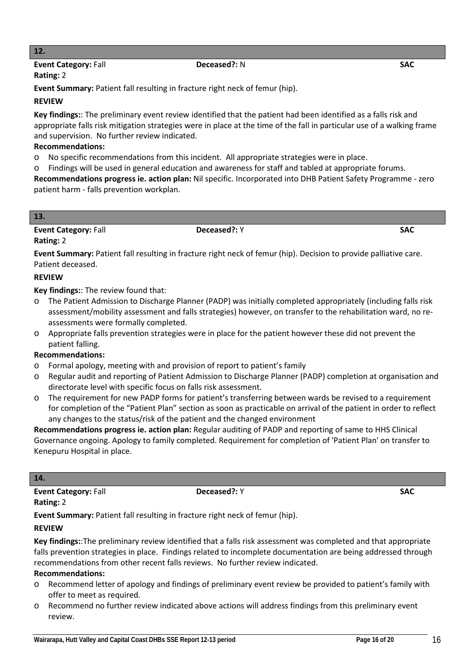# **12.**

#### **Event Category:** Fall **Deceased?:** N **SAC Rating:** 2

**Event Summary:** Patient fall resulting in fracture right neck of femur (hip).

## **REVIEW**

**Key findings:**: The preliminary event review identified that the patient had been identified as a falls risk and appropriate falls risk mitigation strategies were in place at the time of the fall in particular use of a walking frame and supervision. No further review indicated.

# **Recommendations:**

- o No specific recommendations from this incident. All appropriate strategies were in place.
- o Findings will be used in general education and awareness for staff and tabled at appropriate forums.

**Recommendations progress ie. action plan:** Nil specific. Incorporated into DHB Patient Safety Programme - zero patient harm - falls prevention workplan.

| 13.                         |              |            |
|-----------------------------|--------------|------------|
| <b>Event Category: Fall</b> | Deceased?: Y | <b>SAC</b> |

### **Rating:** 2

L

**Event Summary:** Patient fall resulting in fracture right neck of femur (hip). Decision to provide palliative care. Patient deceased.

### **REVIEW**

**Key findings:**: The review found that:

- o The Patient Admission to Discharge Planner (PADP) was initially completed appropriately (including falls risk assessment/mobility assessment and falls strategies) however, on transfer to the rehabilitation ward, no reassessments were formally completed.
- o Appropriate falls prevention strategies were in place for the patient however these did not prevent the patient falling.

### **Recommendations:**

- o Formal apology, meeting with and provision of report to patient's family
- o Regular audit and reporting of Patient Admission to Discharge Planner (PADP) completion at organisation and directorate level with specific focus on falls risk assessment.
- o The requirement for new PADP forms for patient's transferring between wards be revised to a requirement for completion of the "Patient Plan" section as soon as practicable on arrival of the patient in order to reflect any changes to the status/risk of the patient and the changed environment

**Recommendations progress ie. action plan:** Regular auditing of PADP and reporting of same to HHS Clinical Governance ongoing. Apology to family completed. Requirement for completion of 'Patient Plan' on transfer to Kenepuru Hospital in place.

# **14.**

**Event Category:** Fall **Deceased?:** Y **SAC Rating:** 2

**Event Summary:** Patient fall resulting in fracture right neck of femur (hip).

### **REVIEW**

**Key findings:**:The preliminary review identified that a falls risk assessment was completed and that appropriate falls prevention strategies in place. Findings related to incomplete documentation are being addressed through recommendations from other recent falls reviews. No further review indicated.

### **Recommendations:**

- o Recommend letter of apology and findings of preliminary event review be provided to patient's family with offer to meet as required.
- o Recommend no further review indicated above actions will address findings from this preliminary event review.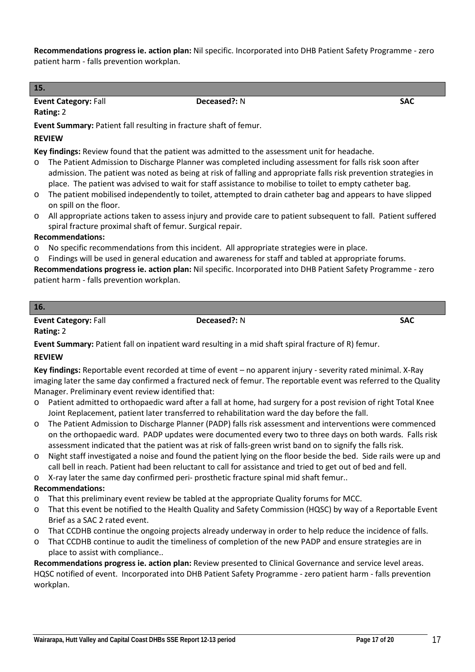**Recommendations progress ie. action plan:** Nil specific. Incorporated into DHB Patient Safety Programme - zero patient harm - falls prevention workplan.

**15. Event Category: Fall <b>SAC Deceased?:** N **SAC** 

# **Rating:** 2

**Event Summary:** Patient fall resulting in fracture shaft of femur.

## **REVIEW**

**Key findings:** Review found that the patient was admitted to the assessment unit for headache.

- o The Patient Admission to Discharge Planner was completed including assessment for falls risk soon after admission. The patient was noted as being at risk of falling and appropriate falls risk prevention strategies in place. The patient was advised to wait for staff assistance to mobilise to toilet to empty catheter bag.
- o The patient mobilised independently to toilet, attempted to drain catheter bag and appears to have slipped on spill on the floor.
- o All appropriate actions taken to assess injury and provide care to patient subsequent to fall. Patient suffered spiral fracture proximal shaft of femur. Surgical repair.

### **Recommendations:**

- o No specific recommendations from this incident. All appropriate strategies were in place.
- o Findings will be used in general education and awareness for staff and tabled at appropriate forums.

**Recommendations progress ie. action plan:** Nil specific. Incorporated into DHB Patient Safety Programme - zero patient harm - falls prevention workplan.

#### **16.**

**Event Category:** Fall **Deceased?:** N **SAC Rating:** 2

**Event Summary:** Patient fall on inpatient ward resulting in a mid shaft spiral fracture of R) femur.

### **REVIEW**

**Key findings:** Reportable event recorded at time of event – no apparent injury - severity rated minimal. X-Ray imaging later the same day confirmed a fractured neck of femur. The reportable event was referred to the Quality Manager. Preliminary event review identified that:

- Patient admitted to orthopaedic ward after a fall at home, had surgery for a post revision of right Total Knee Joint Replacement, patient later transferred to rehabilitation ward the day before the fall.
- o The Patient Admission to Discharge Planner (PADP) falls risk assessment and interventions were commenced on the orthopaedic ward. PADP updates were documented every two to three days on both wards. Falls risk assessment indicated that the patient was at risk of falls-green wrist band on to signify the falls risk.
- o Night staff investigated a noise and found the patient lying on the floor beside the bed. Side rails were up and call bell in reach. Patient had been reluctant to call for assistance and tried to get out of bed and fell.
- o X-ray later the same day confirmed peri- prosthetic fracture spinal mid shaft femur..

# **Recommendations:**

- o That this preliminary event review be tabled at the appropriate Quality forums for MCC.
- o That this event be notified to the Health Quality and Safety Commission (HQSC) by way of a Reportable Event Brief as a SAC 2 rated event.
- o That CCDHB continue the ongoing projects already underway in order to help reduce the incidence of falls.
- o That CCDHB continue to audit the timeliness of completion of the new PADP and ensure strategies are in place to assist with compliance..

**Recommendations progress ie. action plan:** Review presented to Clinical Governance and service level areas. HQSC notified of event. Incorporated into DHB Patient Safety Programme - zero patient harm - falls prevention workplan.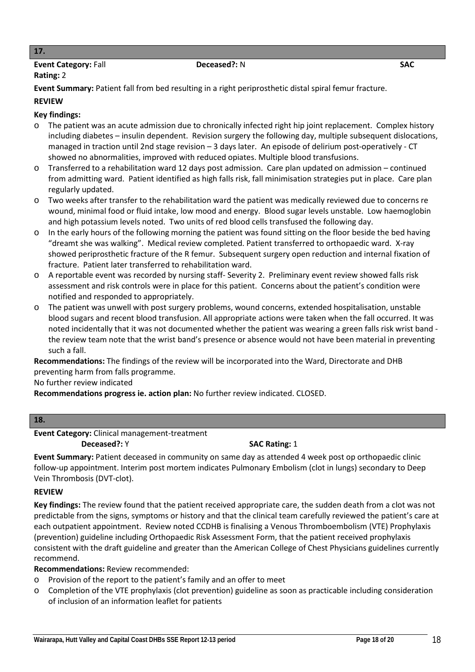#### **17.**

# **Event Category:** Fall **Deceased?:** N **SAC**

### **Rating:** 2

**Event Summary:** Patient fall from bed resulting in a right periprosthetic distal spiral femur fracture.

#### **REVIEW**

# **Key findings:**

- o The patient was an acute admission due to chronically infected right hip joint replacement. Complex history including diabetes – insulin dependent. Revision surgery the following day, multiple subsequent dislocations, managed in traction until 2nd stage revision – 3 days later. An episode of delirium post-operatively - CT showed no abnormalities, improved with reduced opiates. Multiple blood transfusions.
- o Transferred to a rehabilitation ward 12 days post admission. Care plan updated on admission continued from admitting ward. Patient identified as high falls risk, fall minimisation strategies put in place. Care plan regularly updated.
- o Two weeks after transfer to the rehabilitation ward the patient was medically reviewed due to concerns re wound, minimal food or fluid intake, low mood and energy. Blood sugar levels unstable. Low haemoglobin and high potassium levels noted. Two units of red blood cells transfused the following day.
- o In the early hours of the following morning the patient was found sitting on the floor beside the bed having "dreamt she was walking". Medical review completed. Patient transferred to orthopaedic ward. X-ray showed periprosthetic fracture of the R femur. Subsequent surgery open reduction and internal fixation of fracture. Patient later transferred to rehabilitation ward.
- o A reportable event was recorded by nursing staff- Severity 2. Preliminary event review showed falls risk assessment and risk controls were in place for this patient. Concerns about the patient's condition were notified and responded to appropriately.
- o The patient was unwell with post surgery problems, wound concerns, extended hospitalisation, unstable blood sugars and recent blood transfusion. All appropriate actions were taken when the fall occurred. It was noted incidentally that it was not documented whether the patient was wearing a green falls risk wrist band the review team note that the wrist band's presence or absence would not have been material in preventing such a fall.

**Recommendations:** The findings of the review will be incorporated into the Ward, Directorate and DHB preventing harm from falls programme.

No further review indicated

**Recommendations progress ie. action plan:** No further review indicated. CLOSED.

#### **18.**

**Event Category:** Clinical management-treatment

**Deceased?:** Y **SAC Rating: 1** 

**Event Summary:** Patient deceased in community on same day as attended 4 week post op orthopaedic clinic follow-up appointment. Interim post mortem indicates Pulmonary Embolism (clot in lungs) secondary to Deep Vein Thrombosis (DVT-clot).

### **REVIEW**

**Key findings:** The review found that the patient received appropriate care, the sudden death from a clot was not predictable from the signs, symptoms or history and that the clinical team carefully reviewed the patient's care at each outpatient appointment. Review noted CCDHB is finalising a Venous Thromboembolism (VTE) Prophylaxis (prevention) guideline including Orthopaedic Risk Assessment Form, that the patient received prophylaxis consistent with the draft guideline and greater than the American College of Chest Physicians guidelines currently recommend.

**Recommendations:** Review recommended:

- o Provision of the report to the patient's family and an offer to meet
- o Completion of the VTE prophylaxis (clot prevention) guideline as soon as practicable including consideration of inclusion of an information leaflet for patients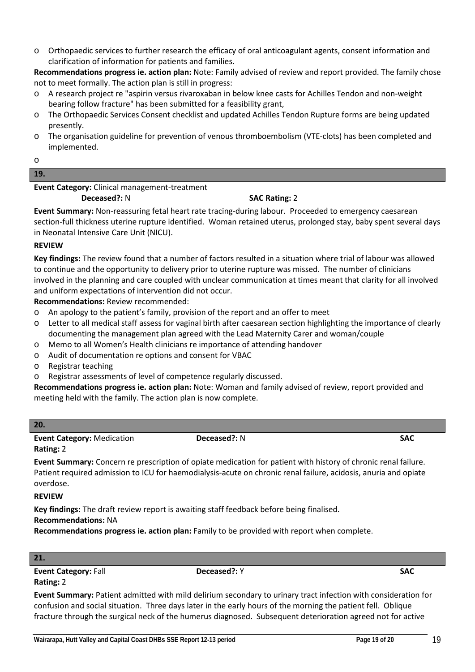o Orthopaedic services to further research the efficacy of oral anticoagulant agents, consent information and clarification of information for patients and families.

**Recommendations progress ie. action plan:** Note: Family advised of review and report provided. The family chose not to meet formally. The action plan is still in progress:

- o A research project re "aspirin versus rivaroxaban in below knee casts for Achilles Tendon and non-weight bearing follow fracture" has been submitted for a feasibility grant,
- o The Orthopaedic Services Consent checklist and updated Achilles Tendon Rupture forms are being updated presently.
- o The organisation guideline for prevention of venous thromboembolism (VTE-clots) has been completed and implemented.

o

#### **19.**

### **Event Category:** Clinical management-treatment

**Deceased?:** N **SAC Rating: 2** 

**Event Summary:** Non-reassuring fetal heart rate tracing-during labour. Proceeded to emergency caesarean section-full thickness uterine rupture identified. Woman retained uterus, prolonged stay, baby spent several days in Neonatal Intensive Care Unit (NICU).

# **REVIEW**

**Key findings:** The review found that a number of factors resulted in a situation where trial of labour was allowed to continue and the opportunity to delivery prior to uterine rupture was missed. The number of clinicians involved in the planning and care coupled with unclear communication at times meant that clarity for all involved and uniform expectations of intervention did not occur.

**Recommendations:** Review recommended:

- o An apology to the patient's family, provision of the report and an offer to meet
- o Letter to all medical staff assess for vaginal birth after caesarean section highlighting the importance of clearly documenting the management plan agreed with the Lead Maternity Carer and woman/couple
- o Memo to all Women's Health clinicians re importance of attending handover
- o Audit of documentation re options and consent for VBAC
- o Registrar teaching
- o Registrar assessments of level of competence regularly discussed.

**Recommendations progress ie. action plan:** Note: Woman and family advised of review, report provided and meeting held with the family. The action plan is now complete.

#### **20.**

#### **Event Category:** Medication **Deceased?:** N **SAC Rating:** 2

**Event Summary:** Concern re prescription of opiate medication for patient with history of chronic renal failure. Patient required admission to ICU for haemodialysis-acute on chronic renal failure, acidosis, anuria and opiate overdose.

### **REVIEW**

**Key findings:** The draft review report is awaiting staff feedback before being finalised.

# **Recommendations:** NA

**Recommendations progress ie. action plan:** Family to be provided with report when complete.

# **21.**

**Event Category:** Fall **Deceased?:** Y **SAC Rating:** 2

**Event Summary:** Patient admitted with mild delirium secondary to urinary tract infection with consideration for confusion and social situation. Three days later in the early hours of the morning the patient fell. Oblique fracture through the surgical neck of the humerus diagnosed. Subsequent deterioration agreed not for active